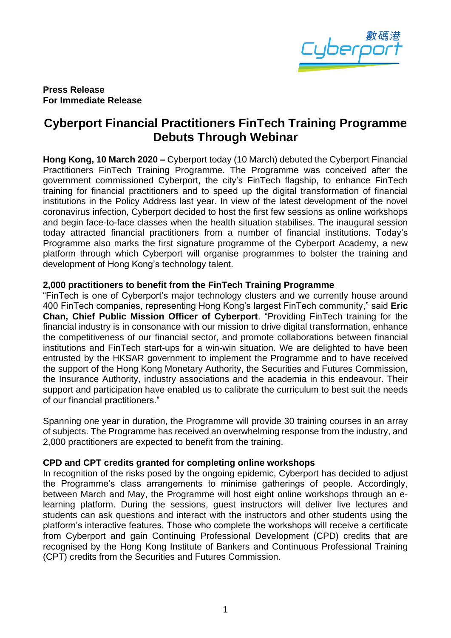

**Press Release For Immediate Release**

# **Cyberport Financial Practitioners FinTech Training Programme Debuts Through Webinar**

**Hong Kong, 10 March 2020 –** Cyberport today (10 March) debuted the Cyberport Financial Practitioners FinTech Training Programme. The Programme was conceived after the government commissioned Cyberport, the city's FinTech flagship, to enhance FinTech training for financial practitioners and to speed up the digital transformation of financial institutions in the Policy Address last year. In view of the latest development of the novel coronavirus infection, Cyberport decided to host the first few sessions as online workshops and begin face-to-face classes when the health situation stabilises. The inaugural session today attracted financial practitioners from a number of financial institutions. Today's Programme also marks the first signature programme of the Cyberport Academy, a new platform through which Cyberport will organise programmes to bolster the training and development of Hong Kong's technology talent.

### **2,000 practitioners to benefit from the FinTech Training Programme**

"FinTech is one of Cyberport's major technology clusters and we currently house around 400 FinTech companies, representing Hong Kong's largest FinTech community," said **Eric Chan, Chief Public Mission Officer of Cyberport**. "Providing FinTech training for the financial industry is in consonance with our mission to drive digital transformation, enhance the competitiveness of our financial sector, and promote collaborations between financial institutions and FinTech start-ups for a win-win situation. We are delighted to have been entrusted by the HKSAR government to implement the Programme and to have received the support of the Hong Kong Monetary Authority, the Securities and Futures Commission, the Insurance Authority, industry associations and the academia in this endeavour. Their support and participation have enabled us to calibrate the curriculum to best suit the needs of our financial practitioners."

Spanning one year in duration, the Programme will provide 30 training courses in an array of subjects. The Programme has received an overwhelming response from the industry, and 2,000 practitioners are expected to benefit from the training.

### **CPD and CPT credits granted for completing online workshops**

In recognition of the risks posed by the ongoing epidemic, Cyberport has decided to adjust the Programme's class arrangements to minimise gatherings of people. Accordingly, between March and May, the Programme will host eight online workshops through an elearning platform. During the sessions, guest instructors will deliver live lectures and students can ask questions and interact with the instructors and other students using the platform's interactive features. Those who complete the workshops will receive a certificate from Cyberport and gain Continuing Professional Development (CPD) credits that are recognised by the Hong Kong Institute of Bankers and Continuous Professional Training (CPT) credits from the Securities and Futures Commission.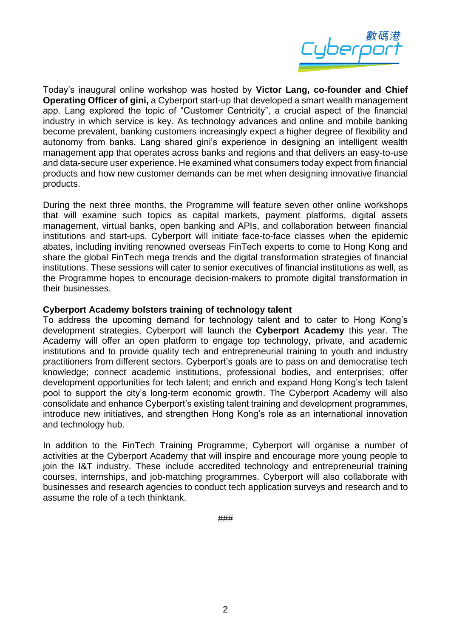

Today's inaugural online workshop was hosted by **Victor Lang, co-founder and Chief Operating Officer of gini,** a Cyberport start-up that developed a smart wealth management app. Lang explored the topic of "Customer Centricity", a crucial aspect of the financial industry in which service is key. As technology advances and online and mobile banking become prevalent, banking customers increasingly expect a higher degree of flexibility and autonomy from banks. Lang shared gini's experience in designing an intelligent wealth management app that operates across banks and regions and that delivers an easy-to-use and data-secure user experience. He examined what consumers today expect from financial products and how new customer demands can be met when designing innovative financial products.

During the next three months, the Programme will feature seven other online workshops that will examine such topics as capital markets, payment platforms, digital assets management, virtual banks, open banking and APIs, and collaboration between financial institutions and start-ups. Cyberport will initiate face-to-face classes when the epidemic abates, including inviting renowned overseas FinTech experts to come to Hong Kong and share the global FinTech mega trends and the digital transformation strategies of financial institutions. These sessions will cater to senior executives of financial institutions as well, as the Programme hopes to encourage decision-makers to promote digital transformation in their businesses.

### **Cyberport Academy bolsters training of technology talent**

To address the upcoming demand for technology talent and to cater to Hong Kong's development strategies, Cyberport will launch the **Cyberport Academy** this year. The Academy will offer an open platform to engage top technology, private, and academic institutions and to provide quality tech and entrepreneurial training to youth and industry practitioners from different sectors. Cyberport's goals are to pass on and democratise tech knowledge; connect academic institutions, professional bodies, and enterprises; offer development opportunities for tech talent; and enrich and expand Hong Kong's tech talent pool to support the city's long-term economic growth. The Cyberport Academy will also consolidate and enhance Cyberport's existing talent training and development programmes, introduce new initiatives, and strengthen Hong Kong's role as an international innovation and technology hub.

In addition to the FinTech Training Programme, Cyberport will organise a number of activities at the Cyberport Academy that will inspire and encourage more young people to join the I&T industry. These include accredited technology and entrepreneurial training courses, internships, and job-matching programmes. Cyberport will also collaborate with businesses and research agencies to conduct tech application surveys and research and to assume the role of a tech thinktank.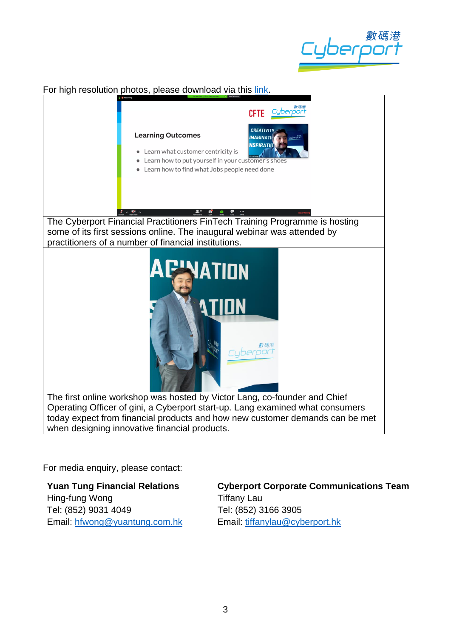

For high resolution photos, please download via this [link.](https://drive.google.com/open?id=10S6jf-GwxA7mkZHUVOEzB_cn2X6g7zyW)



when designing innovative financial products.

For media enquiry, please contact:

**Yuan Tung Financial Relations** Hing-fung Wong Tel: (852) 9031 4049 Email: [hfwong@yuantung.com.hk](mailto:hfwong@yuantung.com.hk) **Cyberport Corporate Communications Team** Tiffany Lau Tel: (852) 3166 3905 Email: [tiffanylau@cyberport.hk](mailto:tiffanylau@cyberport.hk)